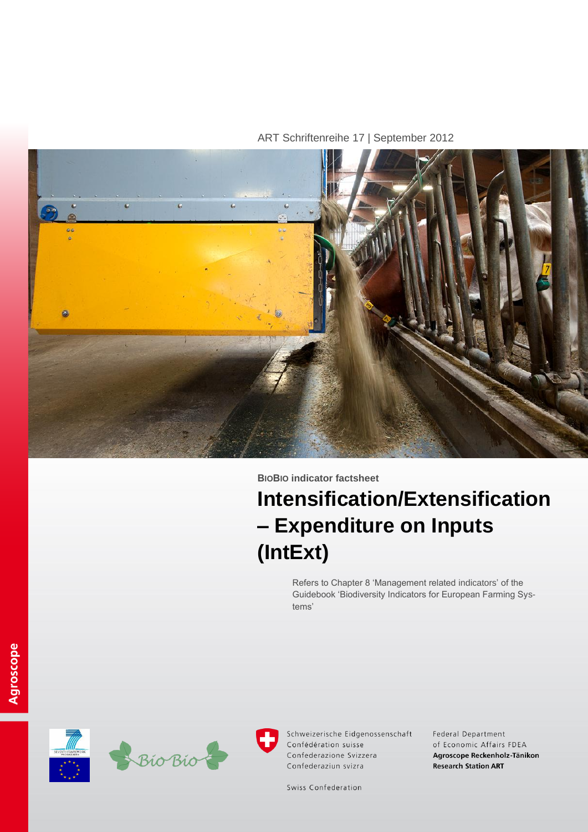ART Schriftenreihe 17 | September 2012



# **BIOBIO indicator factsheet**

# **Intensification/Extensification – Expenditure on Inputs (IntExt)**

Refers to Chapter 8 'Management related indicators' of the Guidebook 'Biodiversity Indicators for European Farming Systems'







Schweizerische Eidgenossenschaft Confédération suisse Confederazione Svizzera Confederaziun svizra

Federal Department of Economic Affairs FDEA Agroscope Reckenholz-Tänikon **Research Station ART** 

Swiss Confederation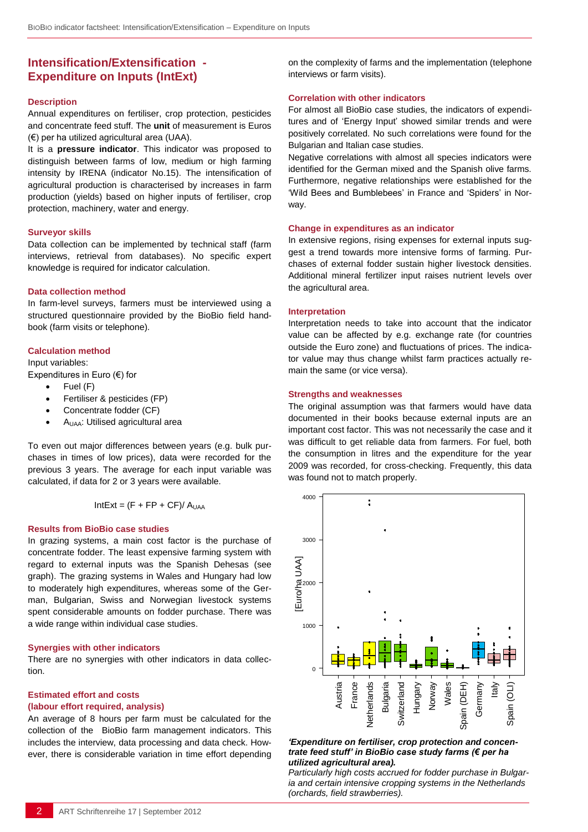# **Intensification/Extensification - Expenditure on Inputs (IntExt)**

#### **Description**

Annual expenditures on fertiliser, crop protection, pesticides and concentrate feed stuff. The **unit** of measurement is Euros (€) per ha utilized agricultural area (UAA).

It is a **pressure indicator**. This indicator was proposed to distinguish between farms of low, medium or high farming intensity by IRENA (indicator No.15). The intensification of agricultural production is characterised by increases in farm production (yields) based on higher inputs of fertiliser, crop protection, machinery, water and energy.

#### **Surveyor skills**

Data collection can be implemented by technical staff (farm interviews, retrieval from databases). No specific expert knowledge is required for indicator calculation.

#### **Data collection method**

In farm-level surveys, farmers must be interviewed using a structured questionnaire provided by the BioBio field handbook (farm visits or telephone).

## **Calculation method**

Input variables:

Expenditures in Euro (€) for

- Fuel (F)
- Fertiliser & pesticides (FP)
- Concentrate fodder (CF)
- AUAA: Utilised agricultural area

To even out major differences between years (e.g. bulk purchases in times of low prices), data were recorded for the previous 3 years. The average for each input variable was calculated, if data for 2 or 3 years were available.

$$
IntExt = (F + FP + CF)/AUAA
$$

#### **Results from BioBio case studies**

In grazing systems, a main cost factor is the purchase of concentrate fodder. The least expensive farming system with regard to external inputs was the Spanish Dehesas (see graph). The grazing systems in Wales and Hungary had low to moderately high expenditures, whereas some of the German, Bulgarian, Swiss and Norwegian livestock systems spent considerable amounts on fodder purchase. There was a wide range within individual case studies.

#### **Synergies with other indicators**

There are no synergies with other indicators in data collection.

#### **Estimated effort and costs (labour effort required, analysis)**

An average of 8 hours per farm must be calculated for the collection of the BioBio farm management indicators. This includes the interview, data processing and data check. However, there is considerable variation in time effort depending on the complexity of farms and the implementation (telephone interviews or farm visits).

#### **Correlation with other indicators**

For almost all BioBio case studies, the indicators of expenditures and of 'Energy Input' showed similar trends and were positively correlated. No such correlations were found for the Bulgarian and Italian case studies.

Negative correlations with almost all species indicators were identified for the German mixed and the Spanish olive farms. Furthermore, negative relationships were established for the 'Wild Bees and Bumblebees' in France and 'Spiders' in Norway.

#### **Change in expenditures as an indicator**

In extensive regions, rising expenses for external inputs suggest a trend towards more intensive forms of farming. Purchases of external fodder sustain higher livestock densities. Additional mineral fertilizer input raises nutrient levels over the agricultural area.

#### **Interpretation**

Interpretation needs to take into account that the indicator value can be affected by e.g. exchange rate (for countries outside the Euro zone) and fluctuations of prices. The indicator value may thus change whilst farm practices actually remain the same (or vice versa).

#### **Strengths and weaknesses**

The original assumption was that farmers would have data documented in their books because external inputs are an important cost factor. This was not necessarily the case and it was difficult to get reliable data from farmers. For fuel, both the consumption in litres and the expenditure for the year 2009 was recorded, for cross-checking. Frequently, this data was found not to match properly.



*'Expenditure on fertiliser, crop protection and concentrate feed stuff' in BioBio case study farms (€ per ha utilized agricultural area).*

*Particularly high costs accrued for fodder purchase in Bulgaria and certain intensive cropping systems in the Netherlands (orchards, field strawberries).*